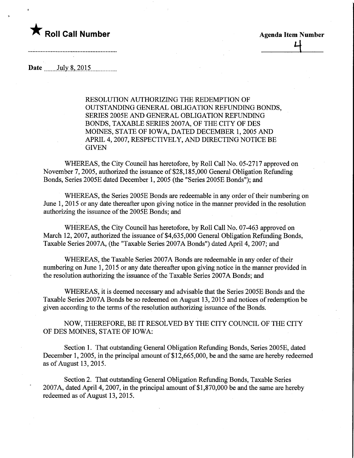

**Agenda Item Number** 

Date ."".. Jyly.8,2015,

RESOLUTION AUTHORIZING THE REDEMPTION OF OUTSTANDING GENERAL OBLIGATION REFUNDING BONDS, SERIES 2005E AND GENERAL OBLIGATION REFUNDING BONDS, TAXABLE SERIES 2007A, OF THE CITY OF DES MOINES, STATE OF IOWA, DATED DECEMBER 1,2005 AND APRIL 4,2007, RESPECTIVELY, AND DIRECTING NOTICE BE **GIVEN** 

WHEREAS, the City Council has heretofore, by Roll Call No. 05-2717 approved on November 7, 2005, authorized the issuance of \$28,185,000 General Obligation Refunding Bonds, Series 2005E dated December 1, 2005 (the "Series 2005E Bonds"); and

WHEREAS, the Series 2005E Bonds are redeemable in any order of their numbering on June 1, 2015 or any date thereafter upon giving notice in the manner provided in the resolution authorizing the issuance of the 2005E Bonds; and

WHEREAS, the City Council has heretofore, by Roll Call No. 07-463 approved on March 12, 2007, authorized the issuance of \$4,635,000 General Obligation Refunding Bonds, Taxable Series 2007A, (the "Taxable Series 2007A Bonds") dated April 4, 2007; and

WHEREAS, the Taxable Series 2007A Bonds are redeemable in any order of their numbering on June 1, 2015 or any date thereafter upon giving notice in the manner provided in the resolution authorizing the issuance of the Taxable Series 2007A Bonds; and

WHEREAS, it is deemed necessary and advisable that the Series 2005E Bonds and the Taxable Series 2007A Bonds be so redeemed on August 13,2015 and notices of redemption be given according to the terms of the resolution authorizing issuance of the Bonds.

NOW, THEREFORE, BE IT RESOLVED BY THE CITY COUNCIL OF THE CITY OF DES MOINES, STATE OF IOWA:

Section 1. That outstanding General Obligation Refunding Bonds, Series 2005E, dated December 1, 2005, in the principal amount of \$12,665,000, be and the same are hereby redeemed as of August 13, 2015.

Section 2. That outstanding General Obligation Refunding Bonds, Taxable Series 2007A, dated April 4, 2007, in the principal amount of \$1,870,000 be and the same are hereby redeemed as of August 13, 2015.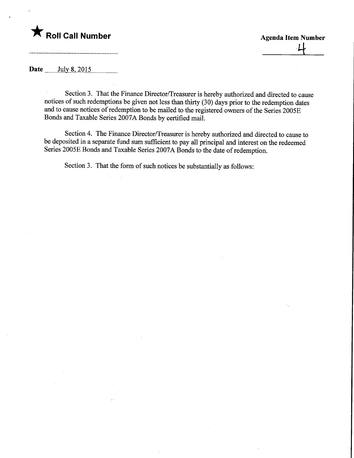# $\zeta$  Roll Call Number

# **Agenda Item Number**

#### Date ....... July.8,2015,

Section 3. That the Finance Director/Treasurer is hereby authorized and directed to cause notices of such redemptions be given not less than thirty (30) days prior to the redemption dates and to cause notices of redemption to be mailed to the registered owners of the Series 2005E Bonds and Taxable Series 2007A Bonds by certified mail.

Section 4. The Finance Director/Treasurer is hereby authorized and directed to cause to be deposited in a separate fund sum sufficient to pay all principal and interest on the redeemed Series 2005E Bonds and Taxable Series 2007A Bonds to the date of redemption.

Section 3. That the form of such notices be substantially as follows: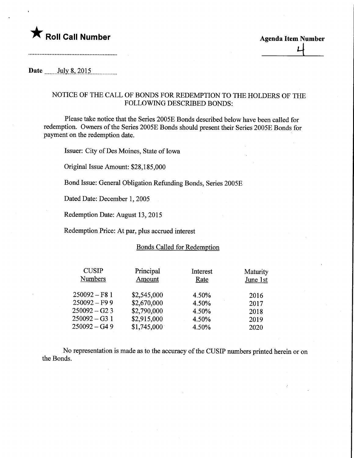### Date ....... July. .8,201.5

#### NOTICE OF THE CALL OF BONDS FOR REDEMPTION TO THE HOLDERS OF THE FOLLOWING DESCRIBED BONDS:

Please take notice that the Series 2005E Bonds described below have been called for redemption. Owners of the Series 2005E Bonds should present their Series 2005E Bonds for payment on the redemption date.

Issuer: City of Des Moines, State of Iowa

Original Issue Amount: \$28,185,000

Bond Issue: General Obligation Refunding Bonds, Series 2005E

Dated Date: December 1, 2005

Redemption Date: August 13, 2015

Redemption Price: At par, plus accrued interest

#### Bonds Called for Redemption

| <b>CUSIP</b>   | Principal   | Interest | Maturity |  |
|----------------|-------------|----------|----------|--|
| <b>Numbers</b> | Amount      | Rate     | June 1st |  |
| $250092 - F81$ | \$2,545,000 | 4.50%    | 2016     |  |
| $250092 - F99$ | \$2,670,000 | 4.50%    | 2017     |  |
| $250092 - G23$ | \$2,790,000 | 4.50%    | 2018     |  |
| $250092 - G31$ | \$2,915,000 | 4.50%    | 2019     |  |
| 250092 – G4 9  | \$1,745,000 | 4.50%    | 2020     |  |

No representation is made as to the accuracy of the CUSIP numbers printed herein or on the Bonds.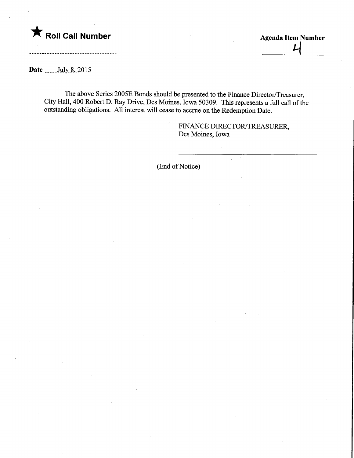

**Agenda Item Number** 

Date ....... July.8,2015,

The above Series 2005E Bonds should be presented to the Finance Director/Treasurer, City Hall, 400 Robert D. Ray Drive, Des Moines, Iowa 50309. This represents a full call of the outstanding obligations. All interest will cease to accrue on the Redemption Date.

> FINANCE DIRECTOR/TREASURER, Des Moines, Iowa

(End of Notice)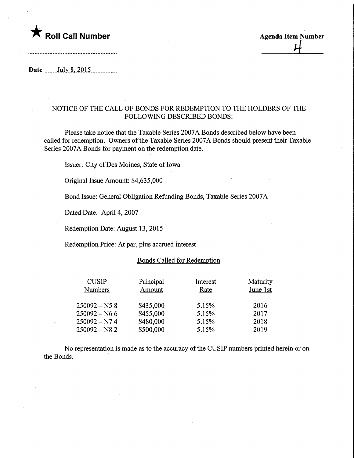

Roll Call Number<br>
Agenda Item Number<br>
Agenda Item Number

Date ....... July. .8,2015,

#### NOTICE OF THE CALL OF BONDS FOR REDEMPTION TO THE HOLDERS OF THE FOLLOWING DESCRIBED BONDS:

Please take notice that the Taxable Series 2007A Bonds described below have been called for redemption. Owners of the Taxable Series 2007A Bonds should present their Taxable Series 2007A Bonds for payment on the redemption date.

Issuer: City of Des Moines, State of Iowa

Original Issue Amount: \$4,635,000

Bond Issue: General Obligation Refunding Bonds, Taxable Series 2007A

Dated Date: April 4, 2007

Redemption Date: August 13, 2015

Redemption Price: At par, plus accrued interest

#### Bonds Called for Redemption

| <b>CUSIP</b><br><b>Numbers</b> | Principal<br>Amount | Interest<br>Rate | Maturity<br>June 1st |  |
|--------------------------------|---------------------|------------------|----------------------|--|
| $250092 - N58$                 | \$435,000           | 5.15%            | 2016                 |  |
| $250092 - N66$                 | \$455,000           | 5.15%            | 2017                 |  |
| $250092 - N74$                 | \$480,000           | 5.15%            | 2018                 |  |
| $250092 - N82$                 | \$500,000           | 5.15%            | 2019                 |  |

No representation is made as to the accuracy of the CUSIP numbers printed herein or on the Bonds.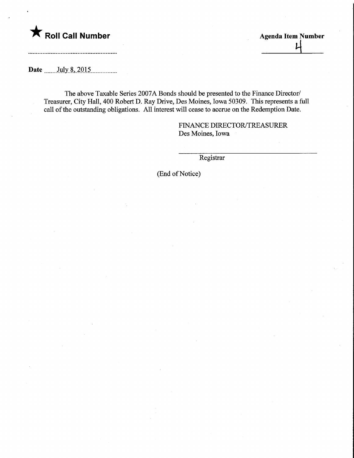

Roll Call Number<br>
Agenda Item Number<br>
Agenda Item Number<br>
Agenda Item Number

Date ....... July. .8,2015.

The above Taxable Series 2007A Bonds should be presented to the Finance Director/ Treasurer, City Hall, 400 Robert D. Ray Drive, Des Moines, Iowa 50309. This represents a full call of the outstanding obligations. All interest will cease to accrue on the Redemption Date.

> FINANCE DIRECTOR/TREASURER Des Moines, Iowa

> > Registrar

(End of Notice)